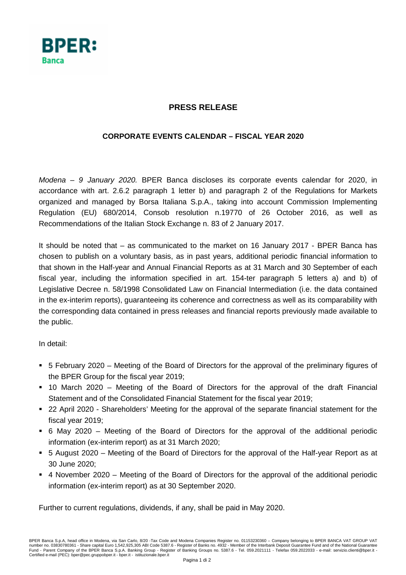

## **PRESS RELEASE**

## **CORPORATE EVENTS CALENDAR – FISCAL YEAR 2020**

Modena – 9 January 2020. BPER Banca discloses its corporate events calendar for 2020, in accordance with art. 2.6.2 paragraph 1 letter b) and paragraph 2 of the Regulations for Markets organized and managed by Borsa Italiana S.p.A., taking into account Commission Implementing Regulation (EU) 680/2014, Consob resolution n.19770 of 26 October 2016, as well as Recommendations of the Italian Stock Exchange n. 83 of 2 January 2017.

It should be noted that – as communicated to the market on 16 January 2017 - BPER Banca has chosen to publish on a voluntary basis, as in past years, additional periodic financial information to that shown in the Half-year and Annual Financial Reports as at 31 March and 30 September of each fiscal year, including the information specified in art. 154-ter paragraph 5 letters a) and b) of Legislative Decree n. 58/1998 Consolidated Law on Financial Intermediation (i.e. the data contained in the ex-interim reports), guaranteeing its coherence and correctness as well as its comparability with the corresponding data contained in press releases and financial reports previously made available to the public.

In detail:

- 5 February 2020 Meeting of the Board of Directors for the approval of the preliminary figures of the BPER Group for the fiscal year 2019;
- 10 March 2020 Meeting of the Board of Directors for the approval of the draft Financial Statement and of the Consolidated Financial Statement for the fiscal year 2019;
- 22 April 2020 Shareholders' Meeting for the approval of the separate financial statement for the fiscal year 2019;
- 6 May 2020 Meeting of the Board of Directors for the approval of the additional periodic information (ex-interim report) as at 31 March 2020;
- 5 August 2020 Meeting of the Board of Directors for the approval of the Half-year Report as at 30 June 2020;
- 4 November 2020 Meeting of the Board of Directors for the approval of the additional periodic information (ex-interim report) as at 30 September 2020.

Further to current regulations, dividends, if any, shall be paid in May 2020.